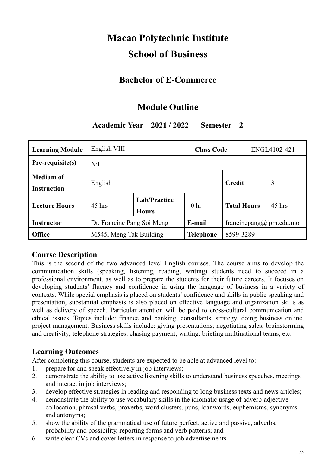# **Macao Polytechnic Institute School of Business**

# **Bachelor of E-Commerce**

# **Module Outline**

# **Academic Year 2021 / 2022 Semester 2**

| <b>Learning Module</b> | English VIII               |                                     |                 | <b>Class Code</b> |                          | ENGL4102-421 |          |  |
|------------------------|----------------------------|-------------------------------------|-----------------|-------------------|--------------------------|--------------|----------|--|
| Pre-requisite(s)       | N <sub>il</sub>            |                                     |                 |                   |                          |              |          |  |
| <b>Medium of</b>       | English                    |                                     |                 | Credit            |                          |              | 3        |  |
| <b>Instruction</b>     |                            |                                     |                 |                   |                          |              |          |  |
| <b>Lecture Hours</b>   | $45$ hrs                   | <b>Lab/Practice</b><br><b>Hours</b> | 0 <sub>hr</sub> |                   | <b>Total Hours</b>       |              | $45$ hrs |  |
| <b>Instructor</b>      | Dr. Francine Pang Soi Meng |                                     | E-mail          |                   | francine pang@ipm.edu.mo |              |          |  |
| <b>Office</b>          | M545, Meng Tak Building    |                                     |                 | Telephone         | 8599-3289                |              |          |  |

#### **Course Description**

This is the second of the two advanced level English courses. The course aims to develop the communication skills (speaking, listening, reading, writing) students need to succeed in a professional environment, as well as to prepare the students for their future careers. It focuses on developing students' fluency and confidence in using the language of business in a variety of contexts. While special emphasis is placed on students' confidence and skills in public speaking and presentation, substantial emphasis is also placed on effective language and organization skills as well as delivery of speech. Particular attention will be paid to cross-cultural communication and ethical issues. Topics include: finance and banking, consultants, strategy, doing business online, project management. Business skills include: giving presentations; negotiating sales; brainstorming and creativity; telephone strategies: chasing payment; writing: briefing multinational teams, etc.

#### **Learning Outcomes**

After completing this course, students are expected to be able at advanced level to:

- 1. prepare for and speak effectively in job interviews;
- 2. demonstrate the ability to use active listening skills to understand business speeches, meetings and interact in job interviews;
- 3. develop effective strategies in reading and responding to long business texts and news articles;
- 4. demonstrate the ability to use vocabulary skills in the idiomatic usage of adverb-adjective collocation, phrasal verbs, proverbs, word clusters, puns, loanwords, euphemisms, synonyms and antonyms;
- 5. show the ability of the grammatical use of future perfect, active and passive, adverbs, probability and possibility, reporting forms and verb patterns; and
- 6. write clear CVs and cover letters in response to job advertisements.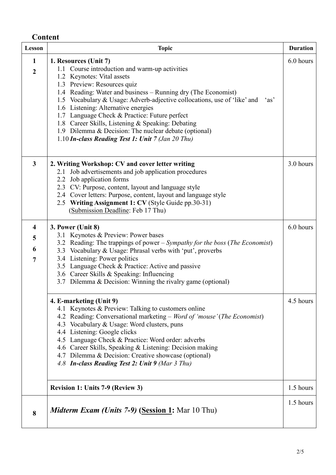# **Content**

| Lesson                                              | <b>Topic</b>                                                                                                                                                                                                                                                                                                                                                                                                                                                                                                                                         | <b>Duration</b>        |
|-----------------------------------------------------|------------------------------------------------------------------------------------------------------------------------------------------------------------------------------------------------------------------------------------------------------------------------------------------------------------------------------------------------------------------------------------------------------------------------------------------------------------------------------------------------------------------------------------------------------|------------------------|
| $\mathbf{1}$<br>$\overline{2}$                      | 1. Resources (Unit 7)<br>1.1 Course introduction and warm-up activities<br>1.2 Keynotes: Vital assets<br>1.3 Preview: Resources quiz<br>1.4 Reading: Water and business – Running dry (The Economist)<br>1.5 Vocabulary & Usage: Adverb-adjective collocations, use of 'like' and<br>'as'<br>1.6 Listening: Alternative energies<br>1.7 Language Check & Practice: Future perfect<br>1.8 Career Skills, Listening & Speaking: Debating<br>1.9 Dilemma & Decision: The nuclear debate (optional)<br>1.10 In-class Reading Test 1: Unit 7 (Jan 20 Thu) | 6.0 hours              |
| $\mathbf{3}$                                        | 2. Writing Workshop: CV and cover letter writing<br>2.1 Job advertisements and job application procedures<br>2.2 Job application forms<br>2.3 CV: Purpose, content, layout and language style<br>2.4 Cover letters: Purpose, content, layout and language style<br>2.5 Writing Assignment 1: CV (Style Guide pp.30-31)<br>(Submission Deadline: Feb 17 Thu)                                                                                                                                                                                          | 3.0 hours              |
| $\overline{\mathbf{4}}$<br>5<br>6<br>$\overline{7}$ | 3. Power (Unit 8)<br>3.1 Keynotes & Preview: Power bases<br>3.2 Reading: The trappings of power – Sympathy for the boss (The Economist)<br>3.3 Vocabulary & Usage: Phrasal verbs with 'put', proverbs<br>3.4 Listening: Power politics<br>3.5 Language Check & Practice: Active and passive<br>3.6 Career Skills & Speaking: Influencing<br>3.7 Dilemma & Decision: Winning the rivalry game (optional)                                                                                                                                              | 6.0 hours              |
|                                                     | 4. E-marketing (Unit 9)<br>4.1 Keynotes & Preview: Talking to customers online<br>4.2 Reading: Conversational marketing - Word of 'mouse' (The Economist)<br>4.3 Vocabulary & Usage: Word clusters, puns<br>4.4 Listening: Google clicks<br>4.5 Language Check & Practice: Word order: adverbs<br>4.6 Career Skills, Speaking & Listening: Decision making<br>4.7 Dilemma & Decision: Creative showcase (optional)<br>4.8 In-class Reading Test 2: Unit 9 (Mar 3 Thu)                                                                                | 4.5 hours              |
| 8                                                   | <b>Revision 1: Units 7-9 (Review 3)</b><br><i>Midterm Exam (Units 7-9)</i> (Session 1: Mar 10 Thu)                                                                                                                                                                                                                                                                                                                                                                                                                                                   | 1.5 hours<br>1.5 hours |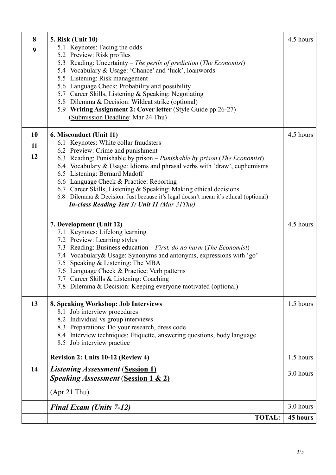| 8  | <b>5. Risk (Unit 10)</b>                                                                                  | 4.5 hours |
|----|-----------------------------------------------------------------------------------------------------------|-----------|
| 9  | 5.1 Keynotes: Facing the odds                                                                             |           |
|    | 5.2 Preview: Risk profiles<br>5.3 Reading: Uncertainty – The perils of prediction (The Economist)         |           |
|    | 5.4 Vocabulary & Usage: 'Chance' and 'luck', loanwords                                                    |           |
|    | 5.5 Listening: Risk management                                                                            |           |
|    | 5.6 Language Check: Probability and possibility                                                           |           |
|    | 5.7 Career Skills, Listening & Speaking: Negotiating                                                      |           |
|    | 5.8 Dilemma & Decision: Wildcat strike (optional)                                                         |           |
|    | 5.9 Writing Assignment 2: Cover letter (Style Guide pp.26-27)<br>(Submission Deadline: Mar 24 Thu)        |           |
|    |                                                                                                           |           |
| 10 | 6. Misconduct (Unit 11)                                                                                   | 4.5 hours |
| 11 | 6.1 Keynotes: White collar fraudsters                                                                     |           |
| 12 | 6.2 Preview: Crime and punishment                                                                         |           |
|    | 6.3 Reading: Punishable by prison – Punishable by prison (The Economist)                                  |           |
|    | 6.4 Vocabulary & Usage: Idioms and phrasal verbs with 'draw', euphemisms<br>6.5 Listening: Bernard Madoff |           |
|    | 6.6 Language Check & Practice: Reporting                                                                  |           |
|    | 6.7 Career Skills, Listening & Speaking: Making ethical decisions                                         |           |
|    | 6.8 Dilemma & Decision: Just because it's legal doesn't mean it's ethical (optional)                      |           |
|    | <b>In-class Reading Test 3: Unit 11 (Mar 31Thu)</b>                                                       |           |
|    | 7. Development (Unit 12)                                                                                  | 4.5 hours |
|    | 7.1 Keynotes: Lifelong learning                                                                           |           |
|    | 7.2 Preview: Learning styles                                                                              |           |
|    | 7.3 Reading: Business education – First, do no harm (The Economist)                                       |           |
|    | 7.4 Vocabulary & Usage: Synonyms and antonyms, expressions with 'go'                                      |           |
|    | 7.5 Speaking & Listening: The MBA<br>7.6 Language Check & Practice: Verb patterns                         |           |
|    | 7.7 Career Skills & Listening: Coaching                                                                   |           |
|    | 7.8 Dilemma & Decision: Keeping everyone motivated (optional)                                             |           |
| 13 | 8. Speaking Workshop: Job Interviews                                                                      | 1.5 hours |
|    | 8.1 Job interview procedures                                                                              |           |
|    | 8.2 Individual vs group interviews                                                                        |           |
|    | 8.3 Preparations: Do your research, dress code                                                            |           |
|    | 8.4 Interview techniques: Etiquette, answering questions, body language                                   |           |
|    | 8.5 Job interview practice                                                                                |           |
|    | Revision 2: Units 10-12 (Review 4)                                                                        | 1.5 hours |
| 14 | <i><b>Listening Assessment (Session 1)</b></i>                                                            | 3.0 hours |
|    | <b>Speaking Assessment (Session 1 &amp; 2)</b>                                                            |           |
|    | $(Apr 21$ Thu)                                                                                            |           |
|    | <b>Final Exam (Units 7-12)</b>                                                                            | 3.0 hours |
|    | <b>TOTAL:</b>                                                                                             | 45 hours  |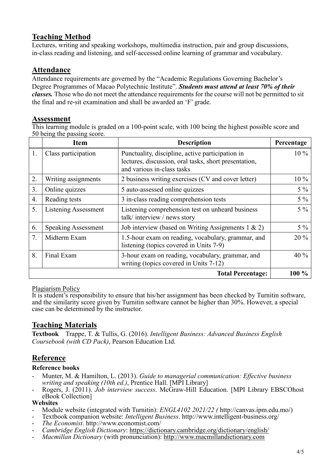# **Teaching Method**

Lectures, writing and speaking workshops, multimedia instruction, pair and group discussions, in-class reading and listening, and self-accessed online learning of grammar and vocabulary.

### **Attendance**

Attendance requirements are governed by the "Academic Regulations Governing Bachelor's Degree Programmes of Macao Polytechnic Institute". *Students must attend at least 70% of their classes.* Those who do not meet the attendance requirements for the course will not be permitted to sit the final and re-sit examination and shall be awarded an 'F' grade.

#### **Assessment**

This learning module is graded on a 100-point scale, with 100 being the highest possible score and 50 being the passing score.

|    | <b>Item</b>                | <b>Description</b>                                                                                                                      | Percentage |  |
|----|----------------------------|-----------------------------------------------------------------------------------------------------------------------------------------|------------|--|
| 1. | Class participation        | Punctuality, discipline, active participation in<br>lectures, discussion, oral tasks, short presentation,<br>and various in-class tasks | $10\%$     |  |
| 2. | Writing assignments        | 2 business writing exercises (CV and cover letter)                                                                                      | 10 %       |  |
| 3. | Online quizzes             | 5 auto-assessed online quizzes                                                                                                          | $5\%$      |  |
| 4. | Reading tests              | 3 in-class reading comprehension tests                                                                                                  | $5\%$      |  |
| 5. | Listening Assessment       | Listening comprehension test on unheard business<br>talk/interview/news story                                                           | $5\%$      |  |
| 6. | <b>Speaking Assessment</b> | Job interview (based on Writing Assignments $1 \& 2$ )                                                                                  | $5\%$      |  |
| 7. | Midterm Exam               | 1.5-hour exam on reading, vocabulary, grammar, and<br>listening (topics covered in Units 7-9)                                           | 20 %       |  |
| 8. | Final Exam                 | 3-hour exam on reading, vocabulary, grammar, and<br>writing (topics covered in Units 7-12)                                              | 40%        |  |
|    |                            | <b>Total Percentage:</b>                                                                                                                | 100 %      |  |

#### Plagiarism Policy

It is student's responsibility to ensure that his/her assignment has been checked by Turnitin software, and the similarity score given by Turnitin software cannot be higher than 30%. However, a special case can be determined by the instructor.

# **Teaching Materials**

**Textbook** Trappe, T. & Tullis, G. (2016). *Intelligent Business: Advanced Business English Coursebook (with CD Pack)*, Pearson Education Ltd.

# **Reference**

#### **Reference books**

- Munter, M. & Hamilton, L. (2013). *Guide to managerial communication: Effective business*
- *Rogers, J. (2011). Job interview success. McGraw-Hill Education. [MPI Library EBSCOhost* eBook Collection]

- **Websites**<br>- Module website (integrated with Turnitin): *ENGL4102 2021/22 (http://canvas.ipm.edu.mo/)*
- Textbook companion website: *Intelligent Business*. http://www.intelligent-business.org/<br>The Economist. http://www.economist.com/
- 
- *Cambridge English Dictionary:* <https://dictionary.cambridge.org/dictionary/english/><br>Macmillan Dictionary (with pronunciation): [http://www.macmillandictionary.com](http://www.macmillandictionary.com/)
-